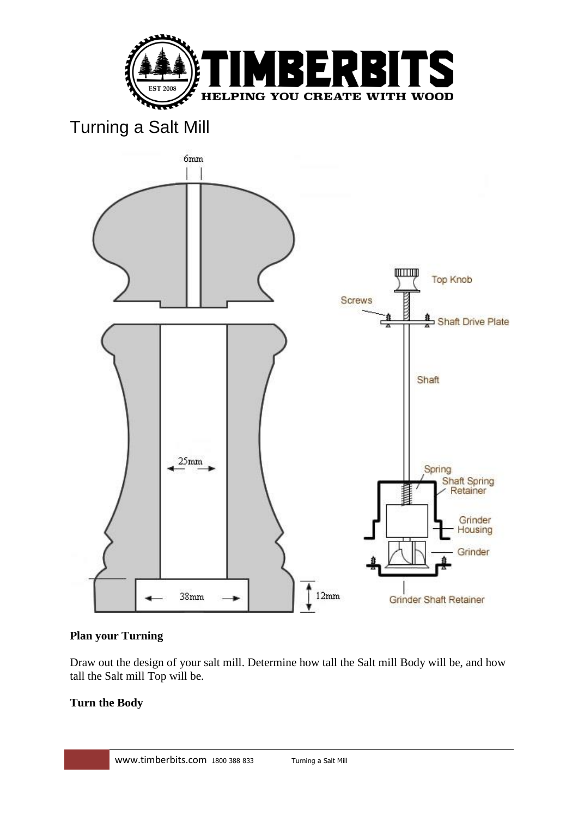

# Turning a Salt Mill



## **Plan your Turning**

Draw out the design of your salt mill. Determine how tall the Salt mill Body will be, and how tall the Salt mill Top will be.

## **Turn the Body**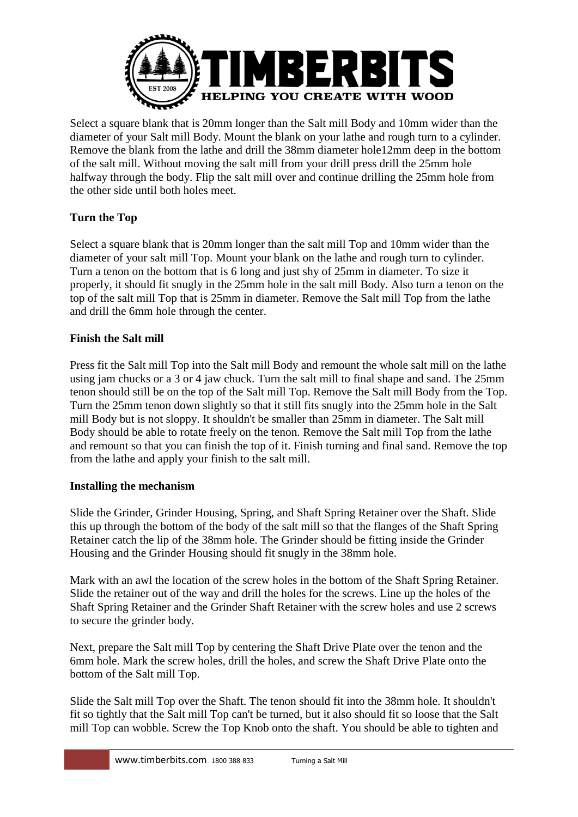

Select a square blank that is 20mm longer than the Salt mill Body and 10mm wider than the diameter of your Salt mill Body. Mount the blank on your lathe and rough turn to a cylinder. Remove the blank from the lathe and drill the 38mm diameter hole12mm deep in the bottom of the salt mill. Without moving the salt mill from your drill press drill the 25mm hole halfway through the body. Flip the salt mill over and continue drilling the 25mm hole from the other side until both holes meet.

## **Turn the Top**

Select a square blank that is 20mm longer than the salt mill Top and 10mm wider than the diameter of your salt mill Top. Mount your blank on the lathe and rough turn to cylinder. Turn a tenon on the bottom that is 6 long and just shy of 25mm in diameter. To size it properly, it should fit snugly in the 25mm hole in the salt mill Body. Also turn a tenon on the top of the salt mill Top that is 25mm in diameter. Remove the Salt mill Top from the lathe and drill the 6mm hole through the center.

#### **Finish the Salt mill**

Press fit the Salt mill Top into the Salt mill Body and remount the whole salt mill on the lathe using jam chucks or a 3 or 4 jaw chuck. Turn the salt mill to final shape and sand. The 25mm tenon should still be on the top of the Salt mill Top. Remove the Salt mill Body from the Top. Turn the 25mm tenon down slightly so that it still fits snugly into the 25mm hole in the Salt mill Body but is not sloppy. It shouldn't be smaller than 25mm in diameter. The Salt mill Body should be able to rotate freely on the tenon. Remove the Salt mill Top from the lathe and remount so that you can finish the top of it. Finish turning and final sand. Remove the top from the lathe and apply your finish to the salt mill.

#### **Installing the mechanism**

Slide the Grinder, Grinder Housing, Spring, and Shaft Spring Retainer over the Shaft. Slide this up through the bottom of the body of the salt mill so that the flanges of the Shaft Spring Retainer catch the lip of the 38mm hole. The Grinder should be fitting inside the Grinder Housing and the Grinder Housing should fit snugly in the 38mm hole.

Mark with an awl the location of the screw holes in the bottom of the Shaft Spring Retainer. Slide the retainer out of the way and drill the holes for the screws. Line up the holes of the Shaft Spring Retainer and the Grinder Shaft Retainer with the screw holes and use 2 screws to secure the grinder body.

Next, prepare the Salt mill Top by centering the Shaft Drive Plate over the tenon and the 6mm hole. Mark the screw holes, drill the holes, and screw the Shaft Drive Plate onto the bottom of the Salt mill Top.

Slide the Salt mill Top over the Shaft. The tenon should fit into the 38mm hole. It shouldn't fit so tightly that the Salt mill Top can't be turned, but it also should fit so loose that the Salt mill Top can wobble. Screw the Top Knob onto the shaft. You should be able to tighten and